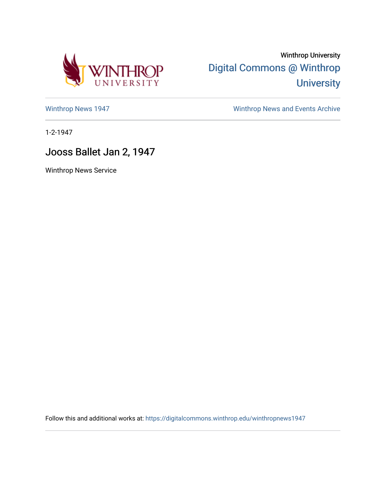

Winthrop University [Digital Commons @ Winthrop](https://digitalcommons.winthrop.edu/)  **University** 

[Winthrop News 1947](https://digitalcommons.winthrop.edu/winthropnews1947) [Winthrop News and Events Archive](https://digitalcommons.winthrop.edu/winthropnewsarchives) 

1-2-1947

## Jooss Ballet Jan 2, 1947

Winthrop News Service

Follow this and additional works at: [https://digitalcommons.winthrop.edu/winthropnews1947](https://digitalcommons.winthrop.edu/winthropnews1947?utm_source=digitalcommons.winthrop.edu%2Fwinthropnews1947%2F7&utm_medium=PDF&utm_campaign=PDFCoverPages)